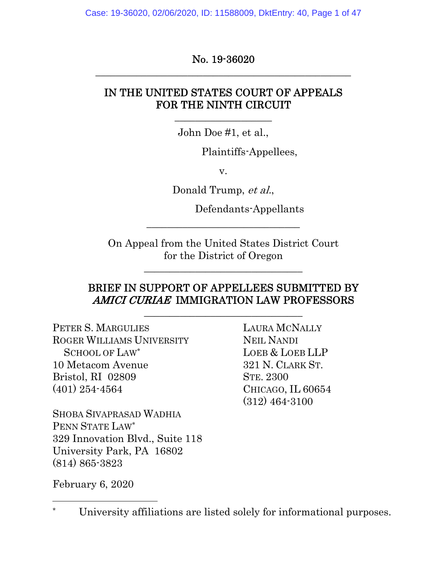Case: 19-36020, 02/06/2020, ID: 11588009, DktEntry: 40, Page 1 of 47

No. 19-36020 \_\_\_\_\_\_\_\_\_\_\_\_\_\_\_\_\_\_\_\_\_\_\_\_\_\_\_\_\_\_\_\_\_\_\_\_\_\_\_\_\_\_\_\_\_\_\_\_\_\_

#### IN THE UNITED STATES COURT OF APPEALS FOR THE NINTH CIRCUIT

John Doe #1, et al.,

 $\frac{1}{2}$  , and the set of the set of the set of the set of the set of the set of the set of the set of the set of the set of the set of the set of the set of the set of the set of the set of the set of the set of the set

Plaintiffs-Appellees,

v.

Donald Trump, et al.,

Defendants-Appellants

On Appeal from the United States District Court for the District of Oregon

\_\_\_\_\_\_\_\_\_\_\_\_\_\_\_\_\_\_\_\_\_\_\_\_\_\_\_\_\_\_\_

\_\_\_\_\_\_\_\_\_\_\_\_\_\_\_\_\_\_\_\_\_\_\_\_\_\_\_\_\_\_

#### BRIEF IN SUPPORT OF APPELLEES SUBMITTED BY AMICI CURIAE IMMIGRATION LAW PROFESSORS

\_\_\_\_\_\_\_\_\_\_\_\_\_\_\_\_\_\_\_\_\_\_\_\_\_\_\_\_\_\_\_

PETER S. MARGULIES ROGER WILLIAMS UNIVERSITY SCHOOL OF LAW\* 10 Metacom Avenue Bristol, RI 02809 (401) 254-4564

SHOBA SIVAPRASAD WADHIA PENN STATE LAW\* 329 Innovation Blvd., Suite 118 University Park, PA 16802 (814) 865-3823

LAURA MCNALLY NEIL NANDI LOEB & LOEB LLP 321 N. CLARK ST. STE. 2300 CHICAGO, IL 60654 (312) 464-3100

February 6, 2020

University affiliations are listed solely for informational purposes.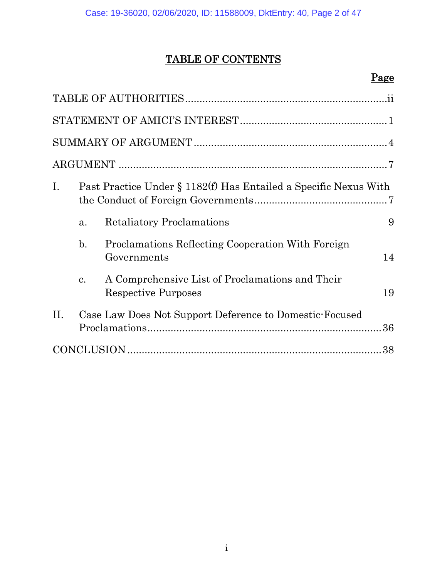# TABLE OF CONTENTS

### Page

| $\mathbf{I}$ . | Past Practice Under § 1182(f) Has Entailed a Specific Nexus With |                                                                               |    |
|----------------|------------------------------------------------------------------|-------------------------------------------------------------------------------|----|
|                | a.                                                               | <b>Retaliatory Proclamations</b>                                              | 9  |
|                | $\mathbf{b}$ .                                                   | Proclamations Reflecting Cooperation With Foreign<br>Governments              | 14 |
|                | c.                                                               | A Comprehensive List of Proclamations and Their<br><b>Respective Purposes</b> | 19 |
| II.            |                                                                  | Case Law Does Not Support Deference to Domestic-Focused<br>36                 |    |
| 38             |                                                                  |                                                                               |    |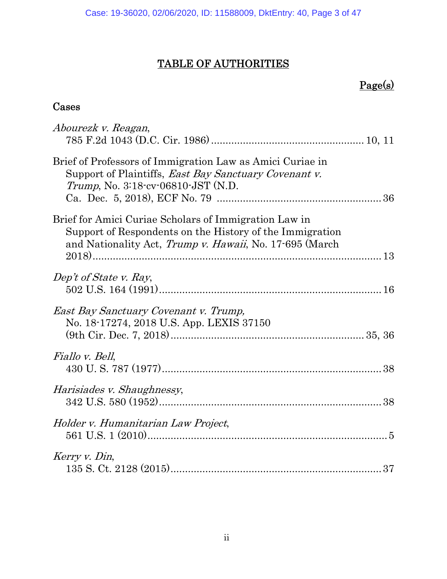# TABLE OF AUTHORITIES

# Page(s)

### Cases

| Abourezk v. Reagan,                                                                                                                                                          |
|------------------------------------------------------------------------------------------------------------------------------------------------------------------------------|
| Brief of Professors of Immigration Law as Amici Curiae in<br>Support of Plaintiffs, East Bay Sanctuary Covenant v.<br><i>Trump</i> , No. 3:18-cv-06810-JST (N.D.             |
| Brief for Amici Curiae Scholars of Immigration Law in<br>Support of Respondents on the History of the Immigration<br>and Nationality Act, Trump v. Hawaii, No. 17-695 (March |
| Dep't of State v. Ray,                                                                                                                                                       |
| East Bay Sanctuary Covenant v. Trump,<br>No. 18-17274, 2018 U.S. App. LEXIS 37150                                                                                            |
| Fiallo v. Bell,                                                                                                                                                              |
| Harisiades v. Shaughnessy,                                                                                                                                                   |
| Holder v. Humanitarian Law Project,                                                                                                                                          |
| Kerry v. Din,                                                                                                                                                                |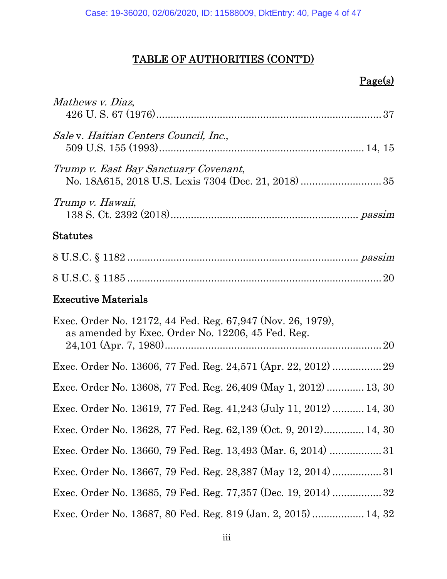### Page(s)

| Mathews v. Diaz,                                                                                                 |
|------------------------------------------------------------------------------------------------------------------|
| Sale v. Haitian Centers Council, Inc.,                                                                           |
| Trump v. East Bay Sanctuary Covenant,                                                                            |
| Trump v. Hawaii,                                                                                                 |
| <b>Statutes</b>                                                                                                  |
|                                                                                                                  |
|                                                                                                                  |
| <b>Executive Materials</b>                                                                                       |
| Exec. Order No. 12172, 44 Fed. Reg. 67,947 (Nov. 26, 1979),<br>as amended by Exec. Order No. 12206, 45 Fed. Reg. |
|                                                                                                                  |
| Exec. Order No. 13608, 77 Fed. Reg. 26,409 (May 1, 2012)  13, 30                                                 |
| Exec. Order No. 13619, 77 Fed. Reg. 41,243 (July 11, 2012)  14, 30                                               |
| Exec. Order No. 13628, 77 Fed. Reg. 62,139 (Oct. 9, 2012) 14, 30                                                 |
| Exec. Order No. 13660, 79 Fed. Reg. 13,493 (Mar. 6, 2014) 31                                                     |
| Exec. Order No. 13667, 79 Fed. Reg. 28,387 (May 12, 2014) 31                                                     |
| Exec. Order No. 13685, 79 Fed. Reg. 77,357 (Dec. 19, 2014)  32                                                   |
| Exec. Order No. 13687, 80 Fed. Reg. 819 (Jan. 2, 2015)  14, 32                                                   |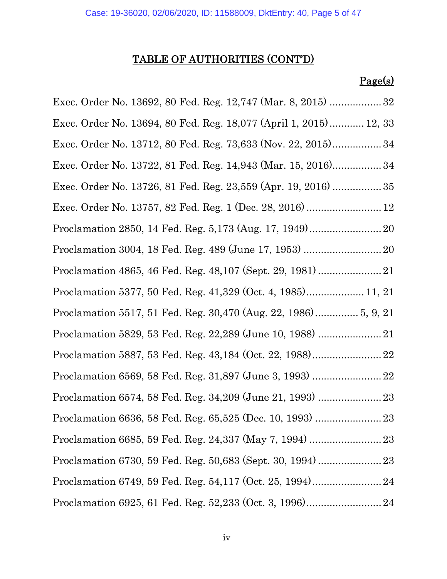# Page(s)

| Exec. Order No. 13692, 80 Fed. Reg. 12,747 (Mar. 8, 2015) 32      |
|-------------------------------------------------------------------|
| Exec. Order No. 13694, 80 Fed. Reg. 18,077 (April 1, 2015) 12, 33 |
| Exec. Order No. 13712, 80 Fed. Reg. 73,633 (Nov. 22, 2015) 34     |
| Exec. Order No. 13722, 81 Fed. Reg. 14,943 (Mar. 15, 2016) 34     |
|                                                                   |
| Exec. Order No. 13757, 82 Fed. Reg. 1 (Dec. 28, 2016)  12         |
|                                                                   |
|                                                                   |
|                                                                   |
|                                                                   |
| Proclamation 5517, 51 Fed. Reg. 30,470 (Aug. 22, 1986) 5, 9, 21   |
|                                                                   |
|                                                                   |
|                                                                   |
|                                                                   |
|                                                                   |
|                                                                   |
|                                                                   |
|                                                                   |
|                                                                   |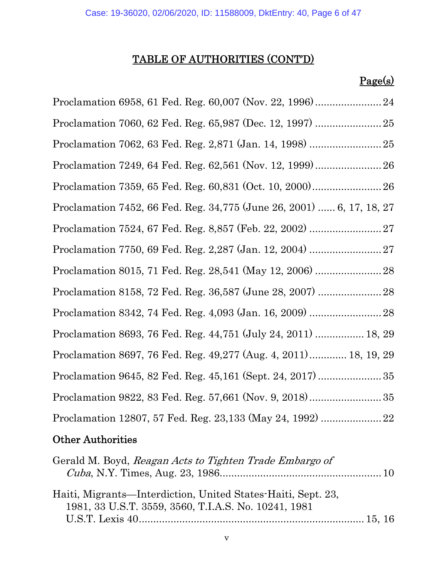### Page(s)

|  | Proclamation 7452, 66 Fed. Reg. 34,775 (June 26, 2001)  6, 17, 18, 27 |
|--|-----------------------------------------------------------------------|
|  |                                                                       |
|  |                                                                       |
|  | Proclamation 8015, 71 Fed. Reg. 28,541 (May 12, 2006)  28             |
|  | Proclamation 8158, 72 Fed. Reg. 36,587 (June 28, 2007)  28            |
|  |                                                                       |
|  | Proclamation 8693, 76 Fed. Reg. 44, 751 (July 24, 2011)  18, 29       |
|  | Proclamation 8697, 76 Fed. Reg. 49,277 (Aug. 4, 2011) 18, 19, 29      |
|  |                                                                       |
|  |                                                                       |
|  | Proclamation 12807, 57 Fed. Reg. 23,133 (May 24, 1992)  22            |

### Other Authorities

| Gerald M. Boyd, Reagan Acts to Tighten Trade Embargo of                                                              |  |
|----------------------------------------------------------------------------------------------------------------------|--|
| Haiti, Migrants—Interdiction, United States-Haiti, Sept. 23,<br>1981, 33 U.S.T. 3559, 3560, T.I.A.S. No. 10241, 1981 |  |
|                                                                                                                      |  |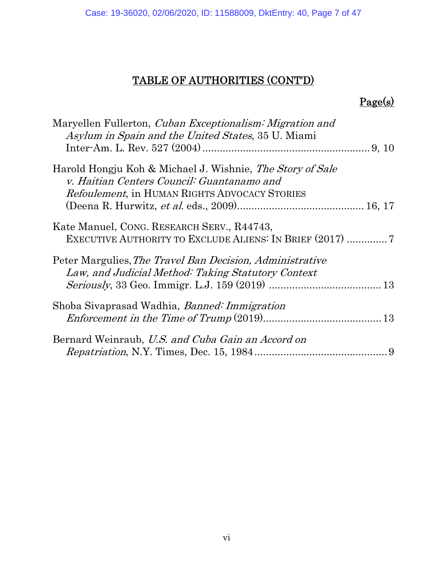# Page(s)

| Maryellen Fullerton, Cuban Exceptionalism: Migration and<br><i>Asylum in Spain and the United States, 35 U. Miami</i>                                            |
|------------------------------------------------------------------------------------------------------------------------------------------------------------------|
| Harold Hongju Koh & Michael J. Wishnie, The Story of Sale<br>v. Haitian Centers Council: Guantanamo and<br><i>Refoulement</i> , in HUMAN RIGHTS ADVOCACY STORIES |
| Kate Manuel, CONG. RESEARCH SERV., R44743,<br>EXECUTIVE AUTHORITY TO EXCLUDE ALIENS: IN BRIEF (2017) 7                                                           |
| Peter Margulies, The Travel Ban Decision, Administrative<br>Law, and Judicial Method: Taking Statutory Context                                                   |
| Shoba Sivaprasad Wadhia, <i>Banned: Immigration</i>                                                                                                              |
| Bernard Weinraub, U.S. and Cuba Gain an Accord on                                                                                                                |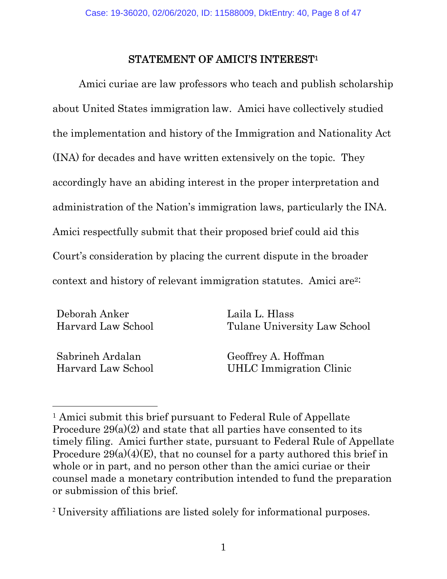#### STATEMENT OF AMICI'S INTEREST1

Amici curiae are law professors who teach and publish scholarship about United States immigration law. Amici have collectively studied the implementation and history of the Immigration and Nationality Act (INA) for decades and have written extensively on the topic. They accordingly have an abiding interest in the proper interpretation and administration of the Nation's immigration laws, particularly the INA. Amici respectfully submit that their proposed brief could aid this Court's consideration by placing the current dispute in the broader context and history of relevant immigration statutes. Amici are2:

Deborah Anker Harvard Law School Laila L. Hlass Tulane University Law School

Sabrineh Ardalan Harvard Law School

 $\overline{a}$ 

Geoffrey A. Hoffman UHLC Immigration Clinic

<sup>&</sup>lt;sup>1</sup> Amici submit this brief pursuant to Federal Rule of Appellate Procedure  $29(a)(2)$  and state that all parties have consented to its timely filing. Amici further state, pursuant to Federal Rule of Appellate Procedure  $29(a)(4)(E)$ , that no counsel for a party authored this brief in whole or in part, and no person other than the amici curiae or their counsel made a monetary contribution intended to fund the preparation or submission of this brief.

<sup>2</sup> University affiliations are listed solely for informational purposes.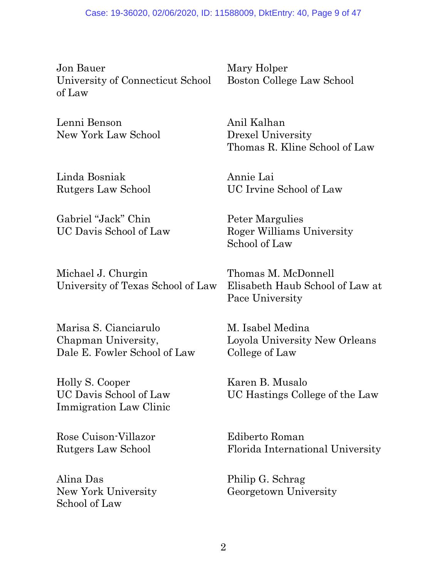Jon Bauer University of Connecticut School of Law

Lenni Benson New York Law School

Linda Bosniak Rutgers Law School

Gabriel "Jack" Chin UC Davis School of Law

Michael J. Churgin University of Texas School of Law

Marisa S. Cianciarulo Chapman University, Dale E. Fowler School of Law

Holly S. Cooper UC Davis School of Law Immigration Law Clinic

Rose Cuison-Villazor Rutgers Law School

Alina Das New York University School of Law

Mary Holper Boston College Law School

Anil Kalhan Drexel University Thomas R. Kline School of Law

Annie Lai UC Irvine School of Law

Peter Margulies Roger Williams University School of Law

Thomas M. McDonnell Elisabeth Haub School of Law at Pace University

M. Isabel Medina Loyola University New Orleans College of Law

Karen B. Musalo UC Hastings College of the Law

Ediberto Roman Florida International University

Philip G. Schrag Georgetown University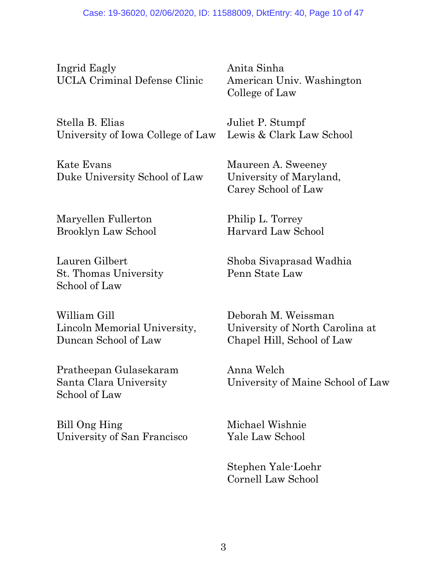Ingrid Eagly UCLA Criminal Defense Clinic

Stella B. Elias University of Iowa College of Law

Kate Evans Duke University School of Law

Maryellen Fullerton Brooklyn Law School

Lauren Gilbert St. Thomas University School of Law

William Gill Lincoln Memorial University, Duncan School of Law

Pratheepan Gulasekaram Santa Clara University School of Law

Bill Ong Hing University of San Francisco

Anita Sinha American Univ. Washington College of Law

Juliet P. Stumpf Lewis & Clark Law School

Maureen A. Sweeney University of Maryland, Carey School of Law

Philip L. Torrey Harvard Law School

Shoba Sivaprasad Wadhia Penn State Law

Deborah M. Weissman University of North Carolina at Chapel Hill, School of Law

Anna Welch University of Maine School of Law

Michael Wishnie Yale Law School

 Stephen Yale-Loehr Cornell Law School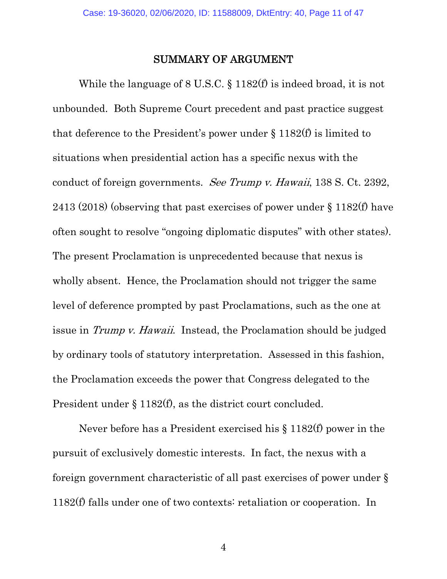#### SUMMARY OF ARGUMENT

While the language of 8 U.S.C. § 1182(f) is indeed broad, it is not unbounded. Both Supreme Court precedent and past practice suggest that deference to the President's power under  $\S 1182(f)$  is limited to situations when presidential action has a specific nexus with the conduct of foreign governments. See Trump v. Hawaii, 138 S. Ct. 2392, 2413 (2018) (observing that past exercises of power under § 1182(f) have often sought to resolve "ongoing diplomatic disputes" with other states). The present Proclamation is unprecedented because that nexus is wholly absent. Hence, the Proclamation should not trigger the same level of deference prompted by past Proclamations, such as the one at issue in Trump v. Hawaii. Instead, the Proclamation should be judged by ordinary tools of statutory interpretation. Assessed in this fashion, the Proclamation exceeds the power that Congress delegated to the President under § 1182(f), as the district court concluded.

Never before has a President exercised his § 1182(f) power in the pursuit of exclusively domestic interests. In fact, the nexus with a foreign government characteristic of all past exercises of power under § 1182(f) falls under one of two contexts: retaliation or cooperation. In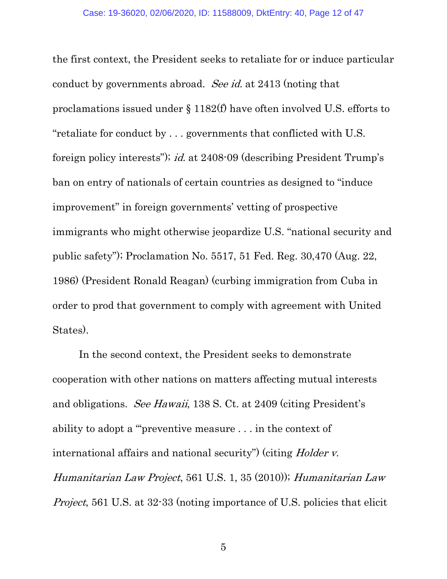the first context, the President seeks to retaliate for or induce particular conduct by governments abroad. See id. at 2413 (noting that proclamations issued under § 1182(f) have often involved U.S. efforts to "retaliate for conduct by . . . governments that conflicted with U.S. foreign policy interests"); id. at 2408-09 (describing President Trump's ban on entry of nationals of certain countries as designed to "induce improvement" in foreign governments' vetting of prospective immigrants who might otherwise jeopardize U.S. "national security and public safety"); Proclamation No. 5517, 51 Fed. Reg. 30,470 (Aug. 22, 1986) (President Ronald Reagan) (curbing immigration from Cuba in order to prod that government to comply with agreement with United States).

In the second context, the President seeks to demonstrate cooperation with other nations on matters affecting mutual interests and obligations. See Hawaii, 138 S. Ct. at 2409 (citing President's ability to adopt a "'preventive measure . . . in the context of international affairs and national security") (citing *Holder v.* Humanitarian Law Project, 561 U.S. 1, 35 (2010)); Humanitarian Law Project, 561 U.S. at 32-33 (noting importance of U.S. policies that elicit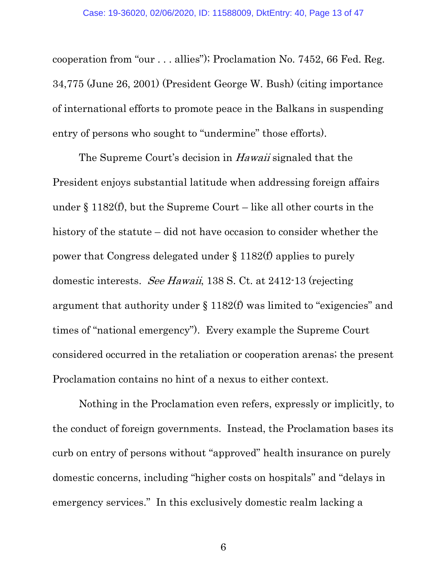cooperation from "our . . . allies"); Proclamation No. 7452, 66 Fed. Reg. 34,775 (June 26, 2001) (President George W. Bush) (citing importance of international efforts to promote peace in the Balkans in suspending entry of persons who sought to "undermine" those efforts).

The Supreme Court's decision in *Hawaii* signaled that the President enjoys substantial latitude when addressing foreign affairs under  $\S 1182(f)$ , but the Supreme Court – like all other courts in the history of the statute – did not have occasion to consider whether the power that Congress delegated under § 1182(f) applies to purely domestic interests. See Hawaii, 138 S. Ct. at 2412-13 (rejecting argument that authority under  $\S 1182(f)$  was limited to "exigencies" and times of "national emergency"). Every example the Supreme Court considered occurred in the retaliation or cooperation arenas; the present Proclamation contains no hint of a nexus to either context.

Nothing in the Proclamation even refers, expressly or implicitly, to the conduct of foreign governments. Instead, the Proclamation bases its curb on entry of persons without "approved" health insurance on purely domestic concerns, including "higher costs on hospitals" and "delays in emergency services." In this exclusively domestic realm lacking a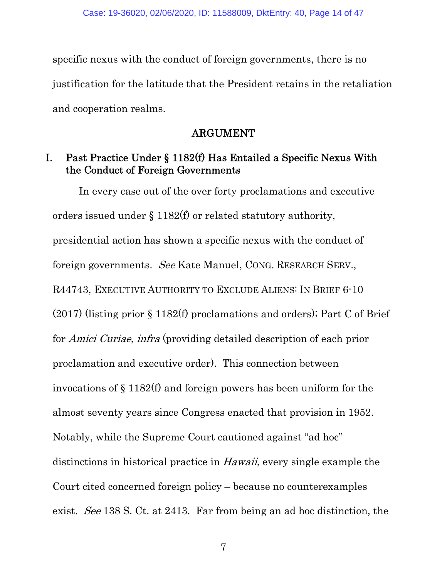specific nexus with the conduct of foreign governments, there is no justification for the latitude that the President retains in the retaliation and cooperation realms.

#### ARGUMENT

#### I. Past Practice Under § 1182(f) Has Entailed a Specific Nexus With the Conduct of Foreign Governments

In every case out of the over forty proclamations and executive orders issued under § 1182(f) or related statutory authority, presidential action has shown a specific nexus with the conduct of foreign governments. See Kate Manuel, CONG. RESEARCH SERV., R44743, EXECUTIVE AUTHORITY TO EXCLUDE ALIENS: IN BRIEF 6-10 (2017) (listing prior § 1182(f) proclamations and orders); Part C of Brief for Amici Curiae, infra (providing detailed description of each prior proclamation and executive order). This connection between invocations of § 1182(f) and foreign powers has been uniform for the almost seventy years since Congress enacted that provision in 1952. Notably, while the Supreme Court cautioned against "ad hoc" distinctions in historical practice in *Hawaii*, every single example the Court cited concerned foreign policy – because no counterexamples exist. See 138 S. Ct. at 2413. Far from being an ad hoc distinction, the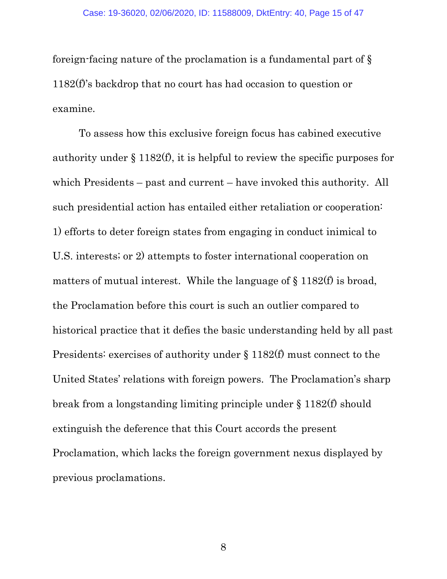foreign-facing nature of the proclamation is a fundamental part of § 1182(f)'s backdrop that no court has had occasion to question or examine.

To assess how this exclusive foreign focus has cabined executive authority under § 1182(f), it is helpful to review the specific purposes for which Presidents – past and current – have invoked this authority. All such presidential action has entailed either retaliation or cooperation: 1) efforts to deter foreign states from engaging in conduct inimical to U.S. interests; or 2) attempts to foster international cooperation on matters of mutual interest. While the language of  $\S 1182(f)$  is broad, the Proclamation before this court is such an outlier compared to historical practice that it defies the basic understanding held by all past Presidents: exercises of authority under § 1182(f) must connect to the United States' relations with foreign powers. The Proclamation's sharp break from a longstanding limiting principle under § 1182(f) should extinguish the deference that this Court accords the present Proclamation, which lacks the foreign government nexus displayed by previous proclamations.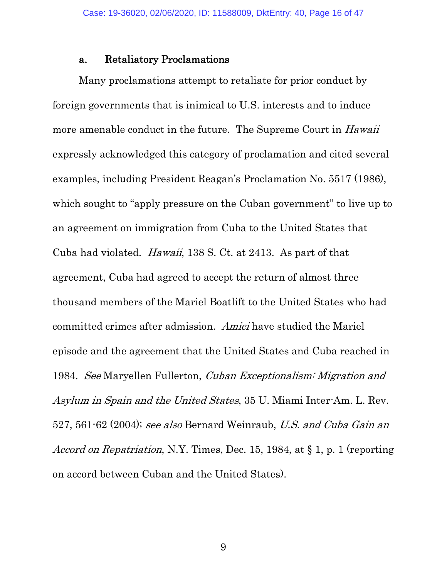#### a. Retaliatory Proclamations

Many proclamations attempt to retaliate for prior conduct by foreign governments that is inimical to U.S. interests and to induce more amenable conduct in the future. The Supreme Court in Hawaii expressly acknowledged this category of proclamation and cited several examples, including President Reagan's Proclamation No. 5517 (1986), which sought to "apply pressure on the Cuban government" to live up to an agreement on immigration from Cuba to the United States that Cuba had violated. Hawaii, 138 S. Ct. at 2413. As part of that agreement, Cuba had agreed to accept the return of almost three thousand members of the Mariel Boatlift to the United States who had committed crimes after admission. Amici have studied the Mariel episode and the agreement that the United States and Cuba reached in 1984. See Maryellen Fullerton, Cuban Exceptionalism: Migration and Asylum in Spain and the United States, 35 U. Miami Inter-Am. L. Rev. 527, 561-62 (2004); see also Bernard Weinraub, U.S. and Cuba Gain an Accord on Repatriation, N.Y. Times, Dec. 15, 1984, at § 1, p. 1 (reporting on accord between Cuban and the United States).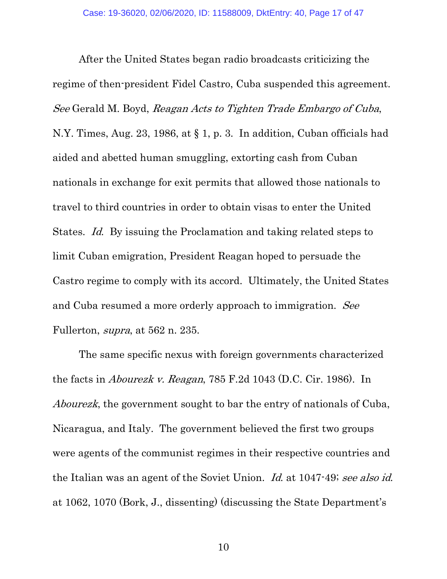After the United States began radio broadcasts criticizing the regime of then-president Fidel Castro, Cuba suspended this agreement. See Gerald M. Boyd, Reagan Acts to Tighten Trade Embargo of Cuba, N.Y. Times, Aug. 23, 1986, at § 1, p. 3. In addition, Cuban officials had aided and abetted human smuggling, extorting cash from Cuban nationals in exchange for exit permits that allowed those nationals to travel to third countries in order to obtain visas to enter the United States. Id. By issuing the Proclamation and taking related steps to limit Cuban emigration, President Reagan hoped to persuade the Castro regime to comply with its accord. Ultimately, the United States and Cuba resumed a more orderly approach to immigration. See Fullerton, supra, at 562 n. 235.

The same specific nexus with foreign governments characterized the facts in Abourezk v. Reagan, 785 F.2d 1043 (D.C. Cir. 1986). In Abourezk, the government sought to bar the entry of nationals of Cuba, Nicaragua, and Italy. The government believed the first two groups were agents of the communist regimes in their respective countries and the Italian was an agent of the Soviet Union. Id. at 1047-49; see also id. at 1062, 1070 (Bork, J., dissenting) (discussing the State Department's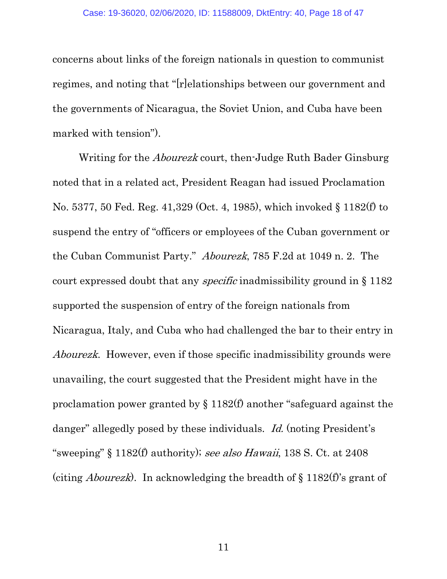concerns about links of the foreign nationals in question to communist regimes, and noting that "[r]elationships between our government and the governments of Nicaragua, the Soviet Union, and Cuba have been marked with tension").

Writing for the *Abourezk* court, then-Judge Ruth Bader Ginsburg noted that in a related act, President Reagan had issued Proclamation No. 5377, 50 Fed. Reg. 41,329 (Oct. 4, 1985), which invoked § 1182(f) to suspend the entry of "officers or employees of the Cuban government or the Cuban Communist Party." Abourezk, 785 F.2d at 1049 n. 2. The court expressed doubt that any specific inadmissibility ground in § 1182 supported the suspension of entry of the foreign nationals from Nicaragua, Italy, and Cuba who had challenged the bar to their entry in Abourezk. However, even if those specific inadmissibility grounds were unavailing, the court suggested that the President might have in the proclamation power granted by § 1182(f) another "safeguard against the danger" allegedly posed by these individuals. Id. (noting President's "sweeping" § 1182(f) authority); see also Hawaii, 138 S. Ct. at 2408 (citing *Abourezk*). In acknowledging the breadth of  $\S 1182(f)$ 's grant of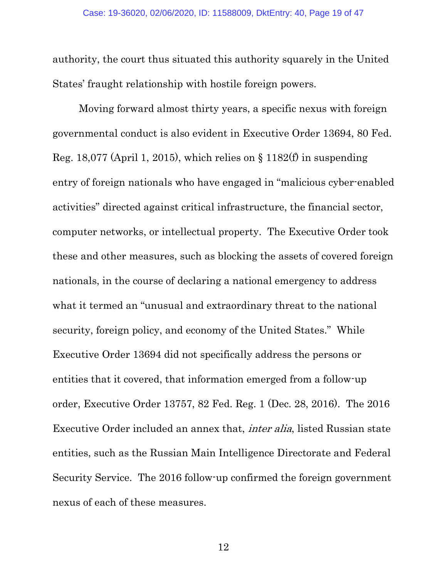authority, the court thus situated this authority squarely in the United States' fraught relationship with hostile foreign powers.

Moving forward almost thirty years, a specific nexus with foreign governmental conduct is also evident in Executive Order 13694, 80 Fed. Reg. 18,077 (April 1, 2015), which relies on  $\S$  1182(f) in suspending entry of foreign nationals who have engaged in "malicious cyber-enabled activities" directed against critical infrastructure, the financial sector, computer networks, or intellectual property. The Executive Order took these and other measures, such as blocking the assets of covered foreign nationals, in the course of declaring a national emergency to address what it termed an "unusual and extraordinary threat to the national security, foreign policy, and economy of the United States." While Executive Order 13694 did not specifically address the persons or entities that it covered, that information emerged from a follow-up order, Executive Order 13757, 82 Fed. Reg. 1 (Dec. 28, 2016). The 2016 Executive Order included an annex that, inter alia, listed Russian state entities, such as the Russian Main Intelligence Directorate and Federal Security Service. The 2016 follow-up confirmed the foreign government nexus of each of these measures.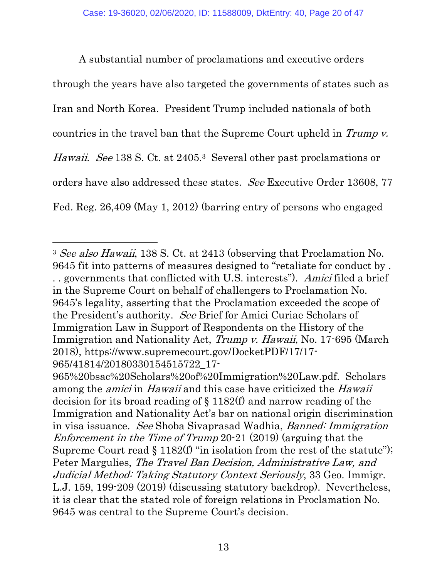A substantial number of proclamations and executive orders through the years have also targeted the governments of states such as Iran and North Korea. President Trump included nationals of both countries in the travel ban that the Supreme Court upheld in Trump v. Hawaii. See 138 S. Ct. at 2405.<sup>3</sup> Several other past proclamations or orders have also addressed these states. See Executive Order 13608, 77 Fed. Reg. 26,409 (May 1, 2012) (barring entry of persons who engaged

<sup>&</sup>lt;sup>3</sup> See also Hawaii, 138 S. Ct. at 2413 (observing that Proclamation No. 9645 fit into patterns of measures designed to "retaliate for conduct by . . . governments that conflicted with U.S. interests"). Amici filed a brief in the Supreme Court on behalf of challengers to Proclamation No. 9645's legality, asserting that the Proclamation exceeded the scope of the President's authority. See Brief for Amici Curiae Scholars of Immigration Law in Support of Respondents on the History of the Immigration and Nationality Act, Trump v. Hawaii, No. 17-695 (March 2018), https://www.supremecourt.gov/DocketPDF/17/17- 965/41814/20180330154515722\_17-

<sup>965%20</sup>bsac%20Scholars%20of%20Immigration%20Law.pdf. Scholars among the *amici* in *Hawaii* and this case have criticized the *Hawaii* decision for its broad reading of § 1182(f) and narrow reading of the Immigration and Nationality Act's bar on national origin discrimination in visa issuance. See Shoba Sivaprasad Wadhia, Banned: Immigration Enforcement in the Time of Trump 20-21 (2019) (arguing that the Supreme Court read  $\S 1182(f)$  "in isolation from the rest of the statute"); Peter Margulies, The Travel Ban Decision, Administrative Law, and Judicial Method: Taking Statutory Context Seriously, 33 Geo. Immigr. L.J. 159, 199-209 (2019) (discussing statutory backdrop). Nevertheless, it is clear that the stated role of foreign relations in Proclamation No. 9645 was central to the Supreme Court's decision.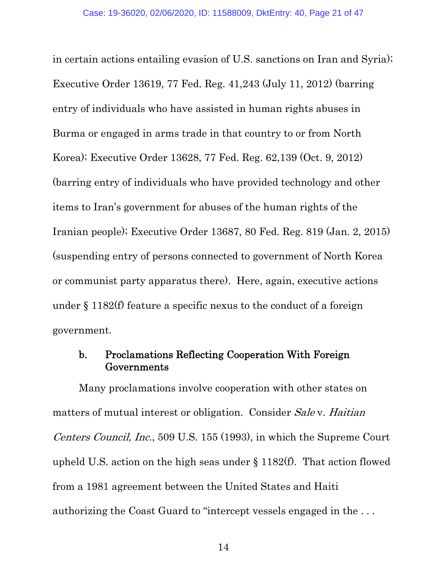in certain actions entailing evasion of U.S. sanctions on Iran and Syria); Executive Order 13619, 77 Fed. Reg. 41,243 (July 11, 2012) (barring entry of individuals who have assisted in human rights abuses in Burma or engaged in arms trade in that country to or from North Korea); Executive Order 13628, 77 Fed. Reg. 62,139 (Oct. 9, 2012) (barring entry of individuals who have provided technology and other items to Iran's government for abuses of the human rights of the Iranian people); Executive Order 13687, 80 Fed. Reg. 819 (Jan. 2, 2015) (suspending entry of persons connected to government of North Korea or communist party apparatus there). Here, again, executive actions under § 1182(f) feature a specific nexus to the conduct of a foreign government.

#### b. Proclamations Reflecting Cooperation With Foreign Governments

Many proclamations involve cooperation with other states on matters of mutual interest or obligation. Consider Sale v. Haitian Centers Council, Inc., 509 U.S. 155 (1993), in which the Supreme Court upheld U.S. action on the high seas under § 1182(f). That action flowed from a 1981 agreement between the United States and Haiti authorizing the Coast Guard to "intercept vessels engaged in the . . .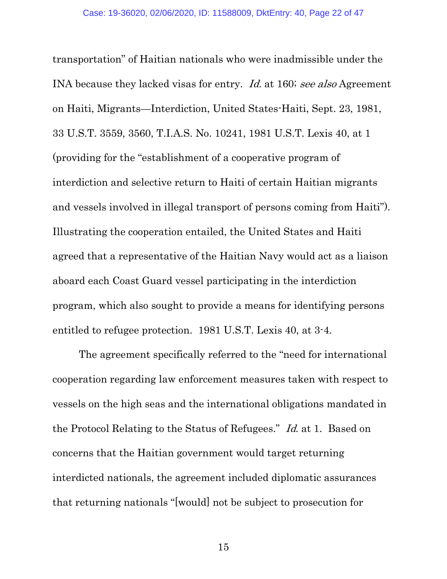transportation" of Haitian nationals who were inadmissible under the INA because they lacked visas for entry. Id. at 160; see also Agreement on Haiti, Migrants—Interdiction, United States-Haiti, Sept. 23, 1981, 33 U.S.T. 3559, 3560, T.I.A.S. No. 10241, 1981 U.S.T. Lexis 40, at 1 (providing for the "establishment of a cooperative program of interdiction and selective return to Haiti of certain Haitian migrants and vessels involved in illegal transport of persons coming from Haiti"). Illustrating the cooperation entailed, the United States and Haiti agreed that a representative of the Haitian Navy would act as a liaison aboard each Coast Guard vessel participating in the interdiction program, which also sought to provide a means for identifying persons entitled to refugee protection. 1981 U.S.T. Lexis 40, at 3-4.

The agreement specifically referred to the "need for international cooperation regarding law enforcement measures taken with respect to vessels on the high seas and the international obligations mandated in the Protocol Relating to the Status of Refugees." Id. at 1. Based on concerns that the Haitian government would target returning interdicted nationals, the agreement included diplomatic assurances that returning nationals "[would] not be subject to prosecution for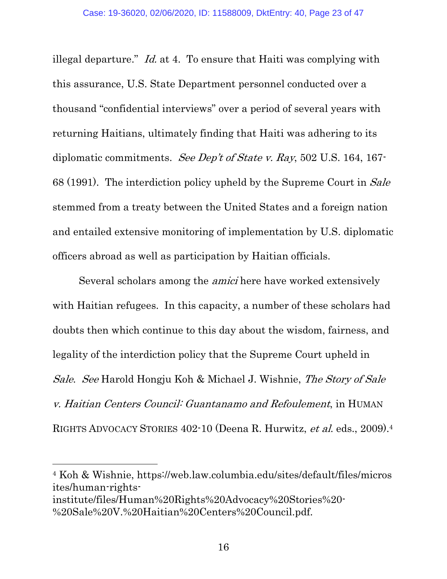illegal departure." Id. at 4. To ensure that Haiti was complying with this assurance, U.S. State Department personnel conducted over a thousand "confidential interviews" over a period of several years with returning Haitians, ultimately finding that Haiti was adhering to its diplomatic commitments. See Dep't of State v. Ray, 502 U.S. 164, 167-68 (1991). The interdiction policy upheld by the Supreme Court in Sale stemmed from a treaty between the United States and a foreign nation and entailed extensive monitoring of implementation by U.S. diplomatic officers abroad as well as participation by Haitian officials.

Several scholars among the amici here have worked extensively with Haitian refugees. In this capacity, a number of these scholars had doubts then which continue to this day about the wisdom, fairness, and legality of the interdiction policy that the Supreme Court upheld in Sale. See Harold Hongju Koh & Michael J. Wishnie, The Story of Sale v. Haitian Centers Council: Guantanamo and Refoulement, in HUMAN RIGHTS ADVOCACY STORIES 402-10 (Deena R. Hurwitz, et al. eds., 2009).4

4 Koh & Wishnie, https://web.law.columbia.edu/sites/default/files/micros ites/human-rightsinstitute/files/Human%20Rights%20Advocacy%20Stories%20- %20Sale%20V.%20Haitian%20Centers%20Council.pdf.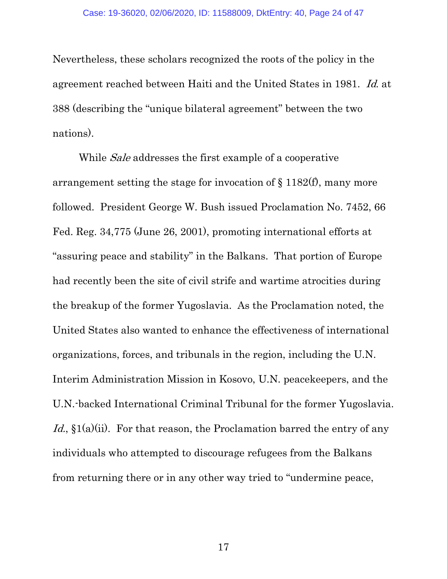Nevertheless, these scholars recognized the roots of the policy in the agreement reached between Haiti and the United States in 1981. Id. at 388 (describing the "unique bilateral agreement" between the two nations).

While *Sale* addresses the first example of a cooperative arrangement setting the stage for invocation of § 1182(f), many more followed. President George W. Bush issued Proclamation No. 7452, 66 Fed. Reg. 34,775 (June 26, 2001), promoting international efforts at "assuring peace and stability" in the Balkans. That portion of Europe had recently been the site of civil strife and wartime atrocities during the breakup of the former Yugoslavia. As the Proclamation noted, the United States also wanted to enhance the effectiveness of international organizations, forces, and tribunals in the region, including the U.N. Interim Administration Mission in Kosovo, U.N. peacekeepers, and the U.N.-backed International Criminal Tribunal for the former Yugoslavia. Id.,  $\S1(a)(ii)$ . For that reason, the Proclamation barred the entry of any individuals who attempted to discourage refugees from the Balkans from returning there or in any other way tried to "undermine peace,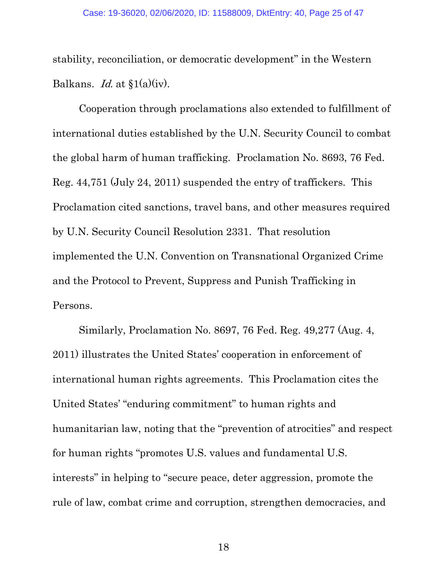stability, reconciliation, or democratic development" in the Western Balkans. *Id.* at  $\S1(a)(iv)$ .

Cooperation through proclamations also extended to fulfillment of international duties established by the U.N. Security Council to combat the global harm of human trafficking. Proclamation No. 8693, 76 Fed. Reg. 44,751 (July 24, 2011) suspended the entry of traffickers. This Proclamation cited sanctions, travel bans, and other measures required by U.N. Security Council Resolution 2331. That resolution implemented the U.N. Convention on Transnational Organized Crime and the Protocol to Prevent, Suppress and Punish Trafficking in Persons.

Similarly, Proclamation No. 8697, 76 Fed. Reg. 49,277 (Aug. 4, 2011) illustrates the United States' cooperation in enforcement of international human rights agreements. This Proclamation cites the United States' "enduring commitment" to human rights and humanitarian law, noting that the "prevention of atrocities" and respect for human rights "promotes U.S. values and fundamental U.S. interests" in helping to "secure peace, deter aggression, promote the rule of law, combat crime and corruption, strengthen democracies, and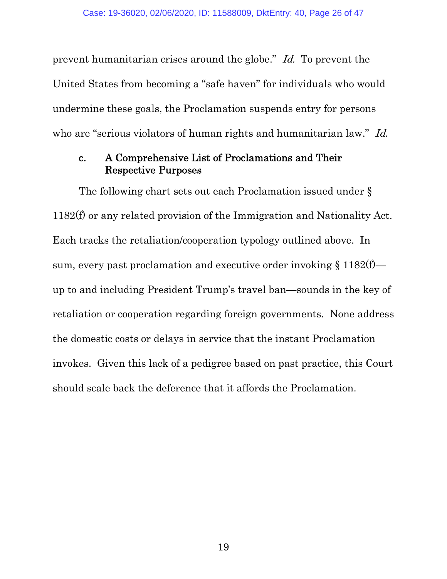prevent humanitarian crises around the globe." Id. To prevent the United States from becoming a "safe haven" for individuals who would undermine these goals, the Proclamation suspends entry for persons who are "serious violators of human rights and humanitarian law." *Id.* 

#### c. A Comprehensive List of Proclamations and Their Respective Purposes

The following chart sets out each Proclamation issued under § 1182(f) or any related provision of the Immigration and Nationality Act. Each tracks the retaliation/cooperation typology outlined above. In sum, every past proclamation and executive order invoking  $\S 1182(f)$  up to and including President Trump's travel ban—sounds in the key of retaliation or cooperation regarding foreign governments. None address the domestic costs or delays in service that the instant Proclamation invokes. Given this lack of a pedigree based on past practice, this Court should scale back the deference that it affords the Proclamation.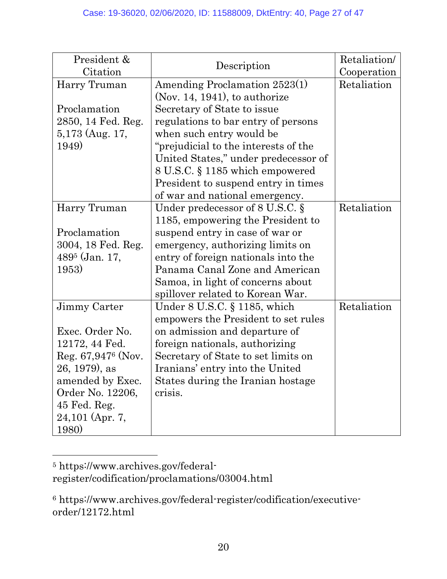| President &<br>Citation     | Description                          | Retaliation/<br>Cooperation |
|-----------------------------|--------------------------------------|-----------------------------|
| Harry Truman                | Amending Proclamation 2523(1)        | Retaliation                 |
|                             | (Nov. 14, 1941), to authorize        |                             |
| Proclamation                | Secretary of State to issue          |                             |
| 2850, 14 Fed. Reg.          | regulations to bar entry of persons  |                             |
| $5,173$ (Aug. 17,           | when such entry would be             |                             |
| 1949)                       | "prejudicial to the interests of the |                             |
|                             | United States," under predecessor of |                             |
|                             | 8 U.S.C. § 1185 which empowered      |                             |
|                             | President to suspend entry in times  |                             |
|                             | of war and national emergency.       |                             |
| Harry Truman                | Under predecessor of $8$ U.S.C. $\S$ | Retaliation                 |
|                             | 1185, empowering the President to    |                             |
| Proclamation                | suspend entry in case of war or      |                             |
| 3004, 18 Fed. Reg.          | emergency, authorizing limits on     |                             |
| 489 <sup>5</sup> (Jan. 17,  | entry of foreign nationals into the  |                             |
| 1953)                       | Panama Canal Zone and American       |                             |
|                             | Samoa, in light of concerns about    |                             |
|                             | spillover related to Korean War.     |                             |
| Jimmy Carter                | Under $8$ U.S.C. $\S$ 1185, which    | Retaliation                 |
|                             | empowers the President to set rules  |                             |
| Exec. Order No.             | on admission and departure of        |                             |
| 12172, 44 Fed.              | foreign nationals, authorizing       |                             |
| Reg. $67,947^{\circ}$ (Nov. | Secretary of State to set limits on  |                             |
| $26, 1979$ , as             | Iranians' entry into the United      |                             |
| amended by Exec.            | States during the Iranian hostage    |                             |
| Order No. 12206,            | crisis.                              |                             |
| 45 Fed. Reg.                |                                      |                             |
| 24,101 (Apr. 7,             |                                      |                             |
| <b>1980</b>                 |                                      |                             |

 $\overline{a}$ 5 https://www.archives.gov/federalregister/codification/proclamations/03004.html

<sup>6</sup> https://www.archives.gov/federal-register/codification/executiveorder/12172.html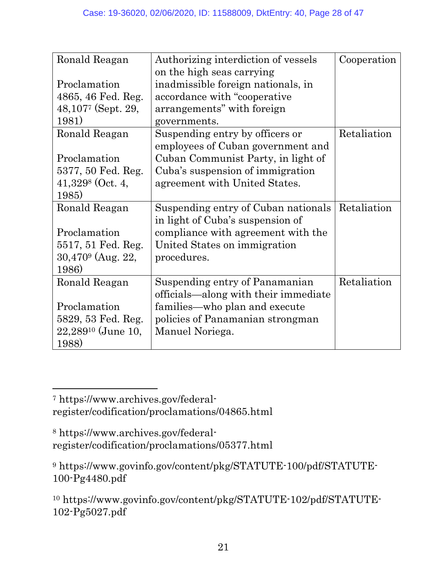| Ronald Reagan                  | Authorizing interdiction of vessels  | Cooperation |
|--------------------------------|--------------------------------------|-------------|
|                                | on the high seas carrying            |             |
| Proclamation                   | inadmissible foreign nationals, in   |             |
| 4865, 46 Fed. Reg.             | accordance with "cooperative"        |             |
| $48,1077$ (Sept. 29,           | arrangements" with foreign           |             |
| 1981)                          | governments.                         |             |
| Ronald Reagan                  | Suspending entry by officers or      | Retaliation |
|                                | employees of Cuban government and    |             |
| Proclamation                   | Cuban Communist Party, in light of   |             |
| 5377, 50 Fed. Reg.             | Cuba's suspension of immigration     |             |
| $41,329$ <sup>8</sup> (Oct. 4, | agreement with United States.        |             |
| 1985)                          |                                      |             |
| Ronald Reagan                  | Suspending entry of Cuban nationals  | Retaliation |
|                                | in light of Cuba's suspension of     |             |
| Proclamation                   | compliance with agreement with the   |             |
| 5517, 51 Fed. Reg.             | United States on immigration         |             |
| $30,4709$ (Aug. 22,            | procedures.                          |             |
| 1986)                          |                                      |             |
| Ronald Reagan                  | Suspending entry of Panamanian       | Retaliation |
|                                | officials—along with their immediate |             |
| Proclamation                   | families—who plan and execute        |             |
| 5829, 53 Fed. Reg.             | policies of Panamanian strongman     |             |
| $22,289^{10}$ (June 10,        | Manuel Noriega.                      |             |
| 1988)                          |                                      |             |

7 https://www.archives.gov/federalregister/codification/proclamations/04865.html

 $\overline{a}$ 

8 https://www.archives.gov/federalregister/codification/proclamations/05377.html

<sup>9</sup> https://www.govinfo.gov/content/pkg/STATUTE-100/pdf/STATUTE-100-Pg4480.pdf

<sup>10</sup> https://www.govinfo.gov/content/pkg/STATUTE-102/pdf/STATUTE-102-Pg5027.pdf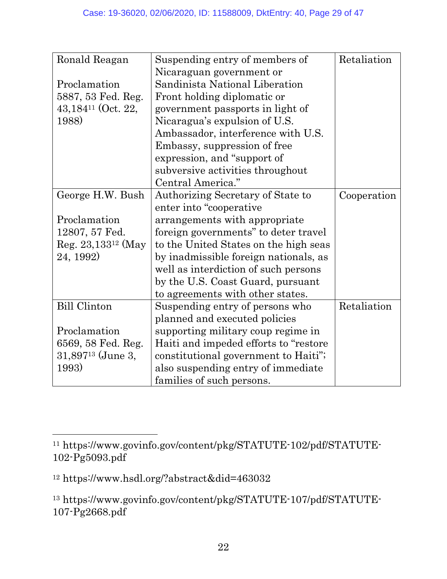| Ronald Reagan                    | Suspending entry of members of         | Retaliation |
|----------------------------------|----------------------------------------|-------------|
|                                  | Nicaraguan government or               |             |
| Proclamation                     | Sandinista National Liberation         |             |
| 5887, 53 Fed. Reg.               | Front holding diplomatic or            |             |
| $43,184$ <sup>11</sup> (Oct. 22, | government passports in light of       |             |
| 1988)                            | Nicaragua's expulsion of U.S.          |             |
|                                  | Ambassador, interference with U.S.     |             |
|                                  | Embassy, suppression of free           |             |
|                                  | expression, and "support of            |             |
|                                  | subversive activities throughout       |             |
|                                  | Central America."                      |             |
| George H.W. Bush                 | Authorizing Secretary of State to      | Cooperation |
|                                  | enter into "cooperative"               |             |
| Proclamation                     | arrangements with appropriate          |             |
| 12807, 57 Fed.                   | foreign governments" to deter travel   |             |
| Reg. $23,133^{12}$ (May          | to the United States on the high seas  |             |
| 24, 1992)                        | by inadmissible foreign nationals, as  |             |
|                                  | well as interdiction of such persons   |             |
|                                  | by the U.S. Coast Guard, pursuant      |             |
|                                  | to agreements with other states.       |             |
| <b>Bill Clinton</b>              | Suspending entry of persons who        | Retaliation |
|                                  | planned and executed policies          |             |
| Proclamation                     | supporting military coup regime in     |             |
| 6569, 58 Fed. Reg.               | Haiti and impeded efforts to "restore" |             |
| $31,897^{13}$ (June 3,           | constitutional government to Haiti";   |             |
| 1993)                            | also suspending entry of immediate     |             |
|                                  | families of such persons.              |             |

<sup>11</sup> https://www.govinfo.gov/content/pkg/STATUTE-102/pdf/STATUTE-102-Pg5093.pdf

<sup>12</sup> https://www.hsdl.org/?abstract&did=463032

<sup>13</sup> https://www.govinfo.gov/content/pkg/STATUTE-107/pdf/STATUTE-107-Pg2668.pdf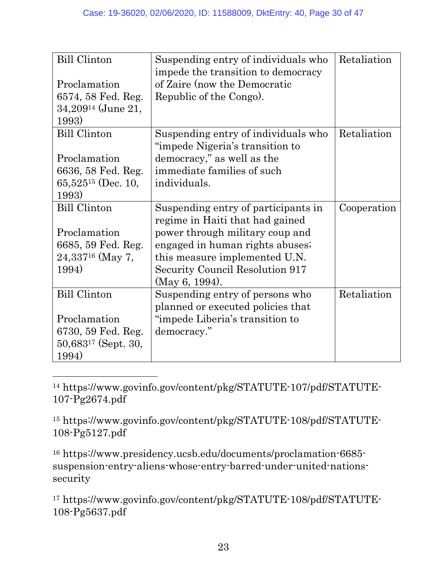| <b>Bill Clinton</b>            | Suspending entry of individuals who<br>impede the transition to democracy | Retaliation |
|--------------------------------|---------------------------------------------------------------------------|-------------|
| Proclamation                   | of Zaire (now the Democratic                                              |             |
| 6574, 58 Fed. Reg.             | Republic of the Congo.                                                    |             |
| $34,209^{14}$ (June 21,        |                                                                           |             |
| 1993)                          |                                                                           |             |
| <b>Bill Clinton</b>            | Suspending entry of individuals who                                       | Retaliation |
|                                | "impede Nigeria's transition to                                           |             |
| Proclamation                   | democracy," as well as the                                                |             |
| 6636, 58 Fed. Reg.             | immediate families of such                                                |             |
| 65,525 <sup>15</sup> (Dec. 10, | individuals.                                                              |             |
| 1993)                          |                                                                           |             |
| <b>Bill Clinton</b>            | Suspending entry of participants in                                       | Cooperation |
|                                | regime in Haiti that had gained                                           |             |
| Proclamation                   | power through military coup and                                           |             |
| 6685, 59 Fed. Reg.             | engaged in human rights abuses;                                           |             |
| $24,337^{16}$ (May 7,          | this measure implemented U.N.                                             |             |
| 1994)                          | Security Council Resolution 917                                           |             |
|                                | (May 6, 1994).                                                            |             |
| <b>Bill Clinton</b>            | Suspending entry of persons who                                           | Retaliation |
|                                | planned or executed policies that                                         |             |
| Proclamation                   | "impede Liberia's transition to                                           |             |
| 6730, 59 Fed. Reg.             | democracy."                                                               |             |
| $50,683^{17}$ (Sept. 30,       |                                                                           |             |
| 1994)                          |                                                                           |             |

 $\overline{a}$ 14 https://www.govinfo.gov/content/pkg/STATUTE-107/pdf/STATUTE-107-Pg2674.pdf

15 https://www.govinfo.gov/content/pkg/STATUTE-108/pdf/STATUTE-108-Pg5127.pdf

16 https://www.presidency.ucsb.edu/documents/proclamation-6685 suspension-entry-aliens-whose-entry-barred-under-united-nationssecurity

17 https://www.govinfo.gov/content/pkg/STATUTE-108/pdf/STATUTE-108-Pg5637.pdf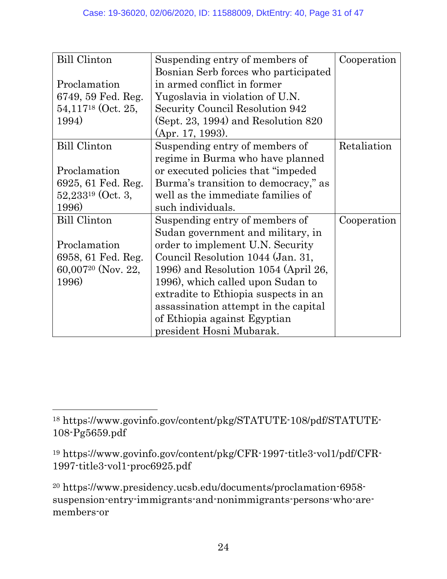| <b>Bill Clinton</b>     | Suspending entry of members of          | Cooperation |
|-------------------------|-----------------------------------------|-------------|
|                         | Bosnian Serb forces who participated    |             |
| Proclamation            | in armed conflict in former             |             |
| 6749, 59 Fed. Reg.      | Yugoslavia in violation of U.N.         |             |
| $54,117^{18}$ (Oct. 25, | Security Council Resolution 942         |             |
| 1994)                   | $(Sept. 23, 1994)$ and Resolution $820$ |             |
|                         | (Apr. 17, 1993).                        |             |
| <b>Bill Clinton</b>     | Suspending entry of members of          | Retaliation |
|                         | regime in Burma who have planned        |             |
| Proclamation            | or executed policies that "impeded"     |             |
| 6925, 61 Fed. Reg.      | Burma's transition to democracy," as    |             |
| $52,233^{19}$ (Oct. 3,  | well as the immediate families of       |             |
| 1996)                   | such individuals.                       |             |
| <b>Bill Clinton</b>     | Suspending entry of members of          | Cooperation |
|                         | Sudan government and military, in       |             |
| Proclamation            | order to implement U.N. Security        |             |
| 6958, 61 Fed. Reg.      | Council Resolution 1044 (Jan. 31,       |             |
| $60,007^{20}$ (Nov. 22, | 1996) and Resolution 1054 (April 26,    |             |
| 1996)                   | 1996), which called upon Sudan to       |             |
|                         | extradite to Ethiopia suspects in an    |             |
|                         | assassination attempt in the capital    |             |
|                         | of Ethiopia against Egyptian            |             |
|                         | president Hosni Mubarak.                |             |

<sup>18</sup> https://www.govinfo.gov/content/pkg/STATUTE-108/pdf/STATUTE-108-Pg5659.pdf

<sup>19</sup> https://www.govinfo.gov/content/pkg/CFR-1997-title3-vol1/pdf/CFR-1997-title3-vol1-proc6925.pdf

<sup>20</sup> https://www.presidency.ucsb.edu/documents/proclamation-6958 suspension-entry-immigrants-and-nonimmigrants-persons-who-aremembers-or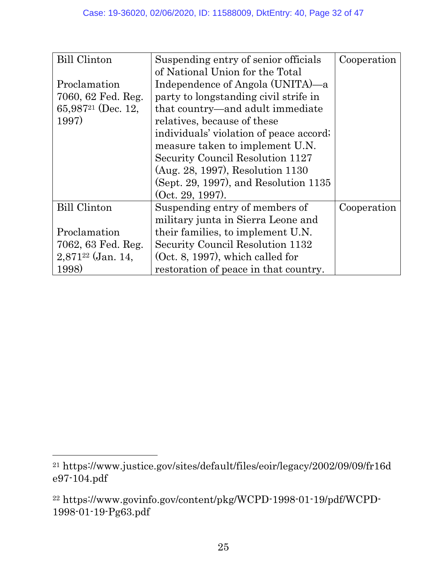| <b>Bill Clinton</b>            | Suspending entry of senior officials    | Cooperation |
|--------------------------------|-----------------------------------------|-------------|
|                                | of National Union for the Total         |             |
| Proclamation                   | Independence of Angola (UNITA)—a        |             |
| 7060, 62 Fed. Reg.             | party to longstanding civil strife in   |             |
| 65,987 <sup>21</sup> (Dec. 12, | that country—and adult immediate        |             |
| 1997)                          | relatives, because of these             |             |
|                                | individuals' violation of peace accord; |             |
|                                | measure taken to implement U.N.         |             |
|                                | Security Council Resolution 1127        |             |
|                                | (Aug. 28, 1997), Resolution 1130        |             |
|                                | (Sept. 29, 1997), and Resolution 1135   |             |
|                                | (Oct. 29. 1997).                        |             |
| <b>Bill Clinton</b>            | Suspending entry of members of          | Cooperation |
|                                | military junta in Sierra Leone and      |             |
| Proclamation                   | their families, to implement U.N.       |             |
| 7062, 63 Fed. Reg.             | Security Council Resolution 1132        |             |
| $2,871^{22}$ (Jan. 14,         | $(Oct. 8, 1997)$ , which called for     |             |
| 1998)                          | restoration of peace in that country.   |             |

<sup>21</sup> https://www.justice.gov/sites/default/files/eoir/legacy/2002/09/09/fr16d e97-104.pdf

<sup>22</sup> https://www.govinfo.gov/content/pkg/WCPD-1998-01-19/pdf/WCPD-1998-01-19-Pg63.pdf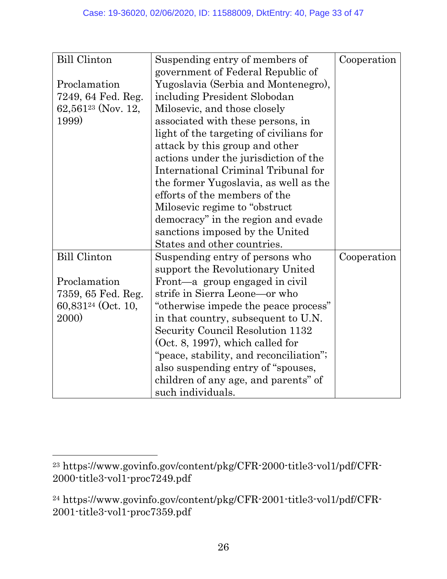| <b>Bill Clinton</b>     | Suspending entry of members of          | Cooperation |
|-------------------------|-----------------------------------------|-------------|
|                         | government of Federal Republic of       |             |
| Proclamation            | Yugoslavia (Serbia and Montenegro),     |             |
| 7249, 64 Fed. Reg.      | including President Slobodan            |             |
| $62,561^{23}$ (Nov. 12, | Milosevic, and those closely            |             |
| 1999)                   | associated with these persons, in       |             |
|                         | light of the targeting of civilians for |             |
|                         | attack by this group and other          |             |
|                         | actions under the jurisdiction of the   |             |
|                         | International Criminal Tribunal for     |             |
|                         | the former Yugoslavia, as well as the   |             |
|                         | efforts of the members of the           |             |
|                         | Milosevic regime to "obstruct"          |             |
|                         | democracy" in the region and evade      |             |
|                         | sanctions imposed by the United         |             |
|                         | States and other countries.             |             |
| <b>Bill Clinton</b>     | Suspending entry of persons who         | Cooperation |
|                         | support the Revolutionary United        |             |
| Proclamation            | Front—a group engaged in civil          |             |
| 7359, 65 Fed. Reg.      | strife in Sierra Leone—or who           |             |
| $60,831^{24}$ (Oct. 10, | "otherwise impede the peace process"    |             |
| <b>2000</b>             | in that country, subsequent to U.N.     |             |
|                         | Security Council Resolution 1132        |             |
|                         | $(Oct. 8, 1997)$ , which called for     |             |
|                         | "peace, stability, and reconciliation"; |             |
|                         | also suspending entry of "spouses,      |             |
|                         | children of any age, and parents" of    |             |
|                         | such individuals.                       |             |

<sup>23</sup> https://www.govinfo.gov/content/pkg/CFR-2000-title3-vol1/pdf/CFR-2000-title3-vol1-proc7249.pdf

<sup>24</sup> https://www.govinfo.gov/content/pkg/CFR-2001-title3-vol1/pdf/CFR-2001-title3-vol1-proc7359.pdf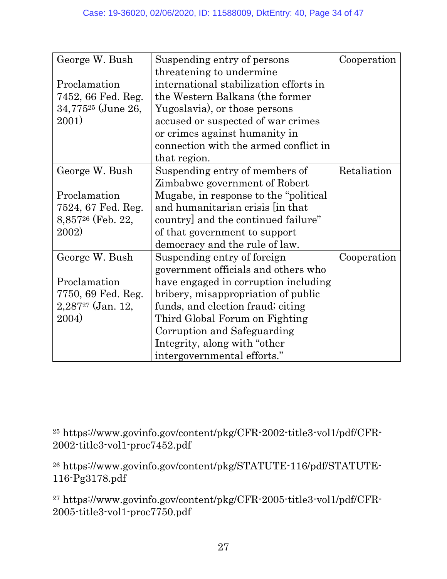| George W. Bush                | Suspending entry of persons            | Cooperation |
|-------------------------------|----------------------------------------|-------------|
|                               | threatening to undermine               |             |
| Proclamation                  | international stabilization efforts in |             |
| 7452, 66 Fed. Reg.            | the Western Balkans (the former        |             |
| $34,775^{25}$ (June 26,       | Yugoslavia), or those persons          |             |
| 2001)                         | accused or suspected of war crimes     |             |
|                               | or crimes against humanity in          |             |
|                               | connection with the armed conflict in  |             |
|                               | that region.                           |             |
| George W. Bush                | Suspending entry of members of         | Retaliation |
|                               | Zimbabwe government of Robert          |             |
| Proclamation                  | Mugabe, in response to the "political" |             |
| 7524, 67 Fed. Reg.            | and humanitarian crisis in that        |             |
| 8,857 <sup>26</sup> (Feb. 22, | country] and the continued failure"    |             |
| 2002)                         | of that government to support          |             |
|                               | democracy and the rule of law.         |             |
| George W. Bush                | Suspending entry of foreign            | Cooperation |
|                               | government officials and others who    |             |
| Proclamation                  | have engaged in corruption including   |             |
| 7750, 69 Fed. Reg.            | bribery, misappropriation of public    |             |
| $2,287^{27}$ (Jan. 12,        | funds, and election fraud; citing      |             |
| 2004)                         | Third Global Forum on Fighting         |             |
|                               | Corruption and Safeguarding            |             |
|                               | Integrity, along with "other"          |             |
|                               | intergovernmental efforts."            |             |

<sup>25</sup> https://www.govinfo.gov/content/pkg/CFR-2002-title3-vol1/pdf/CFR-2002-title3-vol1-proc7452.pdf

<sup>26</sup> https://www.govinfo.gov/content/pkg/STATUTE-116/pdf/STATUTE-116-Pg3178.pdf

<sup>27</sup> https://www.govinfo.gov/content/pkg/CFR-2005-title3-vol1/pdf/CFR-2005-title3-vol1-proc7750.pdf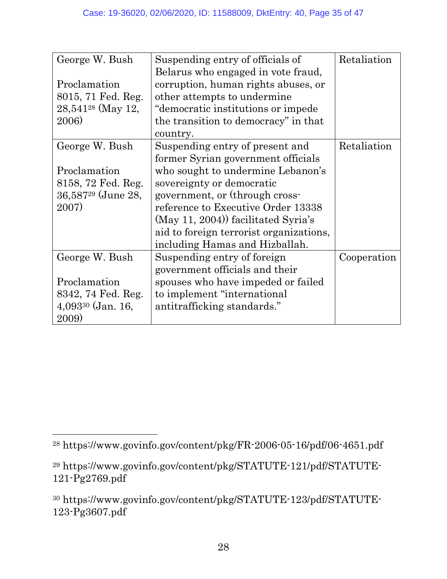| George W. Bush          | Suspending entry of officials of        | Retaliation |
|-------------------------|-----------------------------------------|-------------|
|                         | Belarus who engaged in vote fraud,      |             |
| Proclamation            | corruption, human rights abuses, or     |             |
| 8015, 71 Fed. Reg.      | other attempts to undermine             |             |
| $28,541^{28}$ (May 12,  | "democratic institutions or impede      |             |
| 2006)                   | the transition to democracy" in that    |             |
|                         | country.                                |             |
| George W. Bush          | Suspending entry of present and         | Retaliation |
|                         | former Syrian government officials      |             |
| Proclamation            | who sought to undermine Lebanon's       |             |
| 8158, 72 Fed. Reg.      | sovereignty or democratic               |             |
| $36,587^{29}$ (June 28, | government, or (through cross-          |             |
| 2007)                   | reference to Executive Order 13338      |             |
|                         | $(May 11, 2004)$ facilitated Syria's    |             |
|                         | aid to foreign terrorist organizations, |             |
|                         | including Hamas and Hizballah.          |             |
| George W. Bush          | Suspending entry of foreign             | Cooperation |
|                         | government officials and their          |             |
| Proclamation            | spouses who have impeded or failed      |             |
| 8342, 74 Fed. Reg.      | to implement "international"            |             |
| $4,093^{30}$ (Jan. 16,  | antitrafficking standards."             |             |
| 2009)                   |                                         |             |

<sup>28</sup> https://www.govinfo.gov/content/pkg/FR-2006-05-16/pdf/06-4651.pdf

<sup>29</sup> https://www.govinfo.gov/content/pkg/STATUTE-121/pdf/STATUTE-121-Pg2769.pdf

<sup>30</sup> https://www.govinfo.gov/content/pkg/STATUTE-123/pdf/STATUTE-123-Pg3607.pdf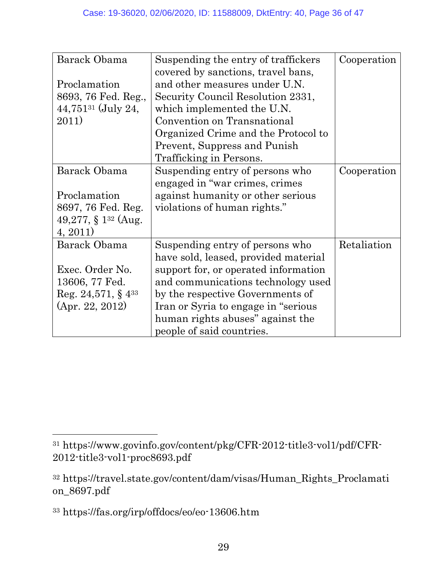| Barack Obama                       | Suspending the entry of traffickers  | Cooperation |
|------------------------------------|--------------------------------------|-------------|
|                                    | covered by sanctions, travel bans,   |             |
| Proclamation                       | and other measures under U.N.        |             |
| 8693, 76 Fed. Reg.,                | Security Council Resolution 2331,    |             |
| $44,751^{31}$ (July 24,            | which implemented the U.N.           |             |
| 2011)                              | Convention on Transnational          |             |
|                                    | Organized Crime and the Protocol to  |             |
|                                    | Prevent, Suppress and Punish         |             |
|                                    | Trafficking in Persons.              |             |
| Barack Obama                       | Suspending entry of persons who      | Cooperation |
|                                    | engaged in "war crimes, crimes       |             |
| Proclamation                       | against humanity or other serious    |             |
| 8697, 76 Fed. Reg.                 | violations of human rights."         |             |
| 49,277, $\S$ 1 <sup>32</sup> (Aug. |                                      |             |
| 4, 2011)                           |                                      |             |
| Barack Obama                       | Suspending entry of persons who      | Retaliation |
|                                    | have sold, leased, provided material |             |
| Exec. Order No.                    | support for, or operated information |             |
| 13606, 77 Fed.                     | and communications technology used   |             |
| Reg. 24,571, $\S$ 4 <sup>33</sup>  | by the respective Governments of     |             |
| (Apr. 22, 2012)                    | Iran or Syria to engage in "serious" |             |
|                                    | human rights abuses" against the     |             |
|                                    | people of said countries.            |             |

<sup>31</sup> https://www.govinfo.gov/content/pkg/CFR-2012-title3-vol1/pdf/CFR-2012-title3-vol1-proc8693.pdf

<sup>32</sup> https://travel.state.gov/content/dam/visas/Human\_Rights\_Proclamati on\_8697.pdf

<sup>33</sup> https://fas.org/irp/offdocs/eo/eo-13606.htm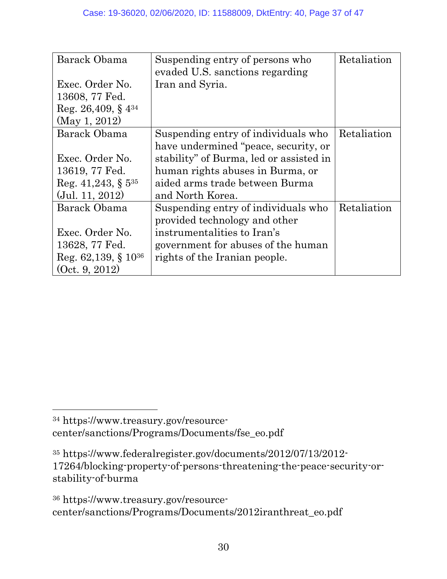| Barack Obama                      | Suspending entry of persons who<br>evaded U.S. sanctions regarding | Retaliation |
|-----------------------------------|--------------------------------------------------------------------|-------------|
| Exec. Order No.                   | Iran and Syria.                                                    |             |
| 13608, 77 Fed.                    |                                                                    |             |
| Reg. 26,409, $\S$ 4 <sup>34</sup> |                                                                    |             |
| (May 1, 2012)                     |                                                                    |             |
| Barack Obama                      | Suspending entry of individuals who                                | Retaliation |
|                                   | have undermined "peace, security, or                               |             |
| Exec. Order No.                   | stability" of Burma, led or assisted in                            |             |
| 13619, 77 Fed.                    | human rights abuses in Burma, or                                   |             |
| Reg. $41,243, \S 5^{35}$          | aided arms trade between Burma                                     |             |
| $($ Jul. 11, 2012 $)$             | and North Korea.                                                   |             |
| Barack Obama                      | Suspending entry of individuals who                                | Retaliation |
|                                   | provided technology and other                                      |             |
| Exec. Order No.                   | instrumentalities to Iran's                                        |             |
| 13628, 77 Fed.                    | government for abuses of the human                                 |             |
| Reg. $62,139, \S 10^{36}$         | rights of the Iranian people.                                      |             |
| (0ct. 9, 2012)                    |                                                                    |             |

<sup>34</sup> https://www.treasury.gov/resourcecenter/sanctions/Programs/Documents/fse\_eo.pdf

<sup>35</sup> https://www.federalregister.gov/documents/2012/07/13/2012- 17264/blocking-property-of-persons-threatening-the-peace-security-orstability-of-burma

<sup>36</sup> https://www.treasury.gov/resourcecenter/sanctions/Programs/Documents/2012iranthreat\_eo.pdf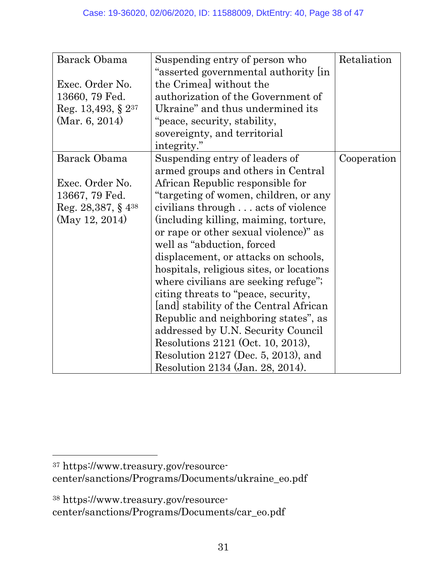| Barack Obama                      | Suspending entry of person who           | Retaliation |
|-----------------------------------|------------------------------------------|-------------|
|                                   | "asserted governmental authority lin     |             |
| Exec. Order No.                   | the Crimeal without the                  |             |
| 13660, 79 Fed.                    | authorization of the Government of       |             |
| Reg. 13,493, § $2^{37}$           | Ukraine" and thus undermined its         |             |
| (Mar. 6, 2014)                    | "peace, security, stability,             |             |
|                                   | sovereignty, and territorial             |             |
|                                   | integrity."                              |             |
| Barack Obama                      | Suspending entry of leaders of           | Cooperation |
|                                   | armed groups and others in Central       |             |
| Exec. Order No.                   | African Republic responsible for         |             |
| 13667, 79 Fed.                    | "targeting of women, children, or any    |             |
| Reg. 28,387, $\S$ 4 <sup>38</sup> | civilians through acts of violence       |             |
| (May 12, 2014)                    | (including killing, maiming, torture,    |             |
|                                   | or rape or other sexual violence)" as    |             |
|                                   | well as "abduction, forced"              |             |
|                                   | displacement, or attacks on schools,     |             |
|                                   | hospitals, religious sites, or locations |             |
|                                   | where civilians are seeking refuge";     |             |
|                                   | citing threats to "peace, security,      |             |
|                                   | [and] stability of the Central African   |             |
|                                   | Republic and neighboring states", as     |             |
|                                   | addressed by U.N. Security Council       |             |
|                                   | Resolutions 2121 (Oct. 10, 2013),        |             |
|                                   | Resolution 2127 (Dec. 5, 2013), and      |             |
|                                   | Resolution 2134 (Jan. 28, 2014).         |             |

38 https://www.treasury.gov/resourcecenter/sanctions/Programs/Documents/car\_eo.pdf

<sup>37</sup> https://www.treasury.gov/resourcecenter/sanctions/Programs/Documents/ukraine\_eo.pdf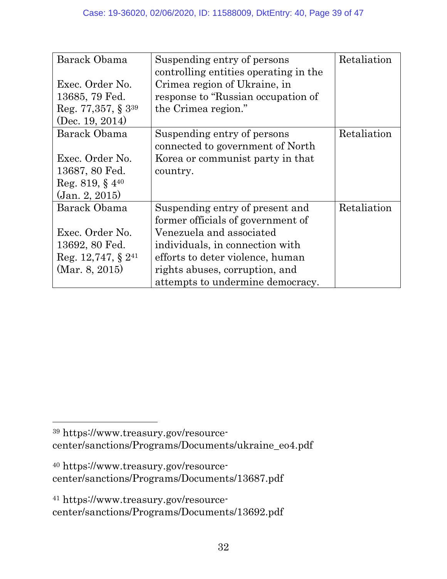| Barack Obama                       | Suspending entry of persons<br>controlling entities operating in the | Retaliation |
|------------------------------------|----------------------------------------------------------------------|-------------|
| Exec. Order No.                    | Crimea region of Ukraine, in                                         |             |
| 13685, 79 Fed.                     | response to "Russian occupation of                                   |             |
| Reg. 77, 357, $\S$ 3 <sup>39</sup> | the Crimea region."                                                  |             |
| (Dec. 19, 2014)                    |                                                                      |             |
| Barack Obama                       | Suspending entry of persons                                          | Retaliation |
|                                    | connected to government of North                                     |             |
| Exec. Order No.                    | Korea or communist party in that                                     |             |
| 13687, 80 Fed.                     | country.                                                             |             |
| Reg. 819, $§$ 4 <sup>40</sup>      |                                                                      |             |
| $\rm (Jan. 2, 2015)$               |                                                                      |             |
| Barack Obama                       | Suspending entry of present and                                      | Retaliation |
|                                    | former officials of government of                                    |             |
| Exec. Order No.                    | Venezuela and associated                                             |             |
| 13692, 80 Fed.                     | individuals, in connection with                                      |             |
| Reg. 12,747, § $2^{41}$            | efforts to deter violence, human                                     |             |
| (Mar. 8, 2015)                     | rights abuses, corruption, and                                       |             |
|                                    | attempts to undermine democracy.                                     |             |

39 https://www.treasury.gov/resourcecenter/sanctions/Programs/Documents/ukraine\_eo4.pdf

40 https://www.treasury.gov/resourcecenter/sanctions/Programs/Documents/13687.pdf

 $\overline{a}$ 

41 https://www.treasury.gov/resourcecenter/sanctions/Programs/Documents/13692.pdf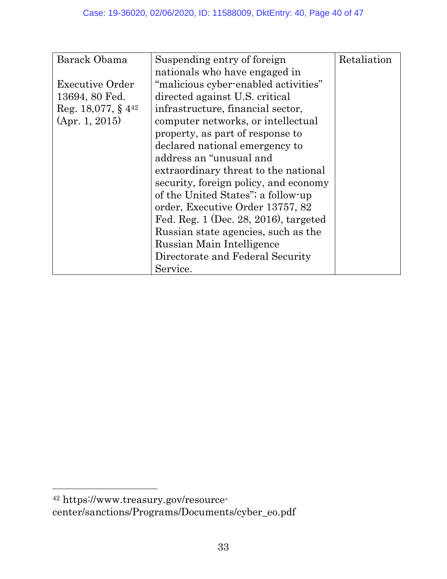| Barack Obama                      | Suspending entry of foreign             | Retaliation |
|-----------------------------------|-----------------------------------------|-------------|
|                                   | nationals who have engaged in           |             |
| <b>Executive Order</b>            | "malicious cyber-enabled activities"    |             |
| 13694, 80 Fed.                    | directed against U.S. critical          |             |
| Reg. 18,077, $\S$ 4 <sup>42</sup> | infrastructure, financial sector,       |             |
| (Apr. 1, 2015)                    | computer networks, or intellectual      |             |
|                                   | property, as part of response to        |             |
|                                   | declared national emergency to          |             |
|                                   | address an "unusual and                 |             |
|                                   | extraordinary threat to the national    |             |
|                                   | security, foreign policy, and economy   |             |
|                                   | of the United States"; a follow-up      |             |
|                                   | order, Executive Order 13757, 82        |             |
|                                   | Fed. Reg. $1$ (Dec. 28, 2016), targeted |             |
|                                   | Russian state agencies, such as the     |             |
|                                   | Russian Main Intelligence               |             |
|                                   | Directorate and Federal Security        |             |
|                                   | Service.                                |             |

<sup>42</sup> https://www.treasury.gov/resourcecenter/sanctions/Programs/Documents/cyber\_eo.pdf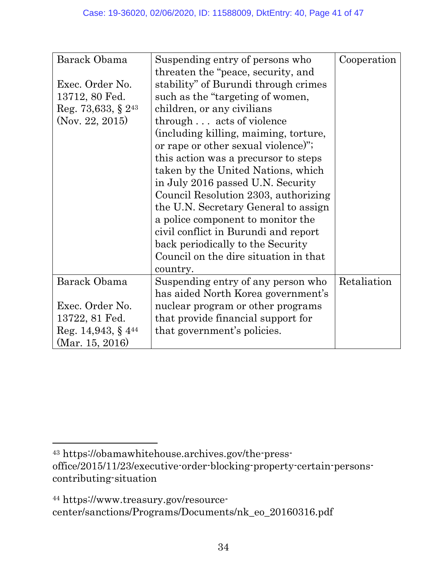| Barack Obama            | Suspending entry of persons who       | Cooperation |
|-------------------------|---------------------------------------|-------------|
|                         | threaten the "peace, security, and    |             |
| Exec. Order No.         | stability" of Burundi through crimes  |             |
| 13712, 80 Fed.          | such as the "targeting of women,      |             |
| Reg. 73,633, § $2^{43}$ | children, or any civilians            |             |
| (Nov. 22, 2015)         | through acts of violence              |             |
|                         | (including killing, maiming, torture, |             |
|                         | or rape or other sexual violence)";   |             |
|                         | this action was a precursor to steps  |             |
|                         | taken by the United Nations, which    |             |
|                         | in July 2016 passed U.N. Security     |             |
|                         | Council Resolution 2303, authorizing  |             |
|                         | the U.N. Secretary General to assign  |             |
|                         | a police component to monitor the     |             |
|                         | civil conflict in Burundi and report  |             |
|                         | back periodically to the Security     |             |
|                         | Council on the dire situation in that |             |
|                         | country.                              |             |
| Barack Obama            | Suspending entry of any person who    | Retaliation |
|                         | has aided North Korea government's    |             |
| Exec. Order No.         | nuclear program or other programs     |             |
| 13722, 81 Fed.          | that provide financial support for    |             |
| Reg. 14,943, § $4^{44}$ | that government's policies.           |             |
| (Mar. 15, 2016)         |                                       |             |

<sup>43</sup> https://obamawhitehouse.archives.gov/the-pressoffice/2015/11/23/executive-order-blocking-property-certain-personscontributing-situation

<sup>44</sup> https://www.treasury.gov/resourcecenter/sanctions/Programs/Documents/nk\_eo\_20160316.pdf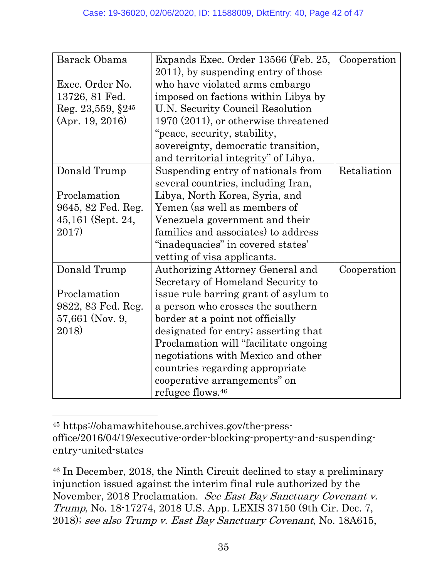| Barack Obama              | Expands Exec. Order 13566 (Feb. 25,    | Cooperation |
|---------------------------|----------------------------------------|-------------|
|                           | 2011), by suspending entry of those    |             |
| Exec. Order No.           | who have violated arms embargo         |             |
| 13726, 81 Fed.            | imposed on factions within Libya by    |             |
| Reg. $23,559,$ $\S2^{45}$ | U.N. Security Council Resolution       |             |
| (Apr. 19, 2016)           | 1970 (2011), or otherwise threatened   |             |
|                           | "peace, security, stability,           |             |
|                           | sovereignty, democratic transition,    |             |
|                           | and territorial integrity" of Libya.   |             |
| Donald Trump              | Suspending entry of nationals from     | Retaliation |
|                           | several countries, including Iran,     |             |
| Proclamation              | Libya, North Korea, Syria, and         |             |
| 9645, 82 Fed. Reg.        | Yemen (as well as members of           |             |
| 45,161 (Sept. 24,         | Venezuela government and their         |             |
| 2017)                     | families and associates) to address    |             |
|                           | "inadequacies" in covered states'      |             |
|                           | vetting of visa applicants.            |             |
| Donald Trump              | Authorizing Attorney General and       | Cooperation |
|                           | Secretary of Homeland Security to      |             |
| Proclamation              | issue rule barring grant of asylum to  |             |
| 9822, 83 Fed. Reg.        | a person who crosses the southern      |             |
| 57,661 (Nov. 9,           | border at a point not officially       |             |
| 2018)                     | designated for entry; asserting that   |             |
|                           | Proclamation will "facilitate ongoing" |             |
|                           | negotiations with Mexico and other     |             |
|                           | countries regarding appropriate        |             |
|                           | cooperative arrangements" on           |             |
|                           | refugee flows. <sup>46</sup>           |             |

45 https://obamawhitehouse.archives.gov/the-pressoffice/2016/04/19/executive-order-blocking-property-and-suspendingentry-united-states

 $\overline{a}$ 

46 In December, 2018, the Ninth Circuit declined to stay a preliminary injunction issued against the interim final rule authorized by the November, 2018 Proclamation. See East Bay Sanctuary Covenant v. Trump, No. 18-17274, 2018 U.S. App. LEXIS 37150 (9th Cir. Dec. 7, 2018); see also Trump v. East Bay Sanctuary Covenant, No. 18A615,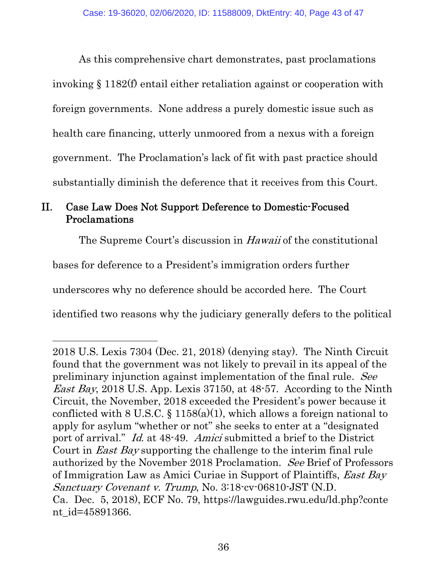As this comprehensive chart demonstrates, past proclamations invoking § 1182(f) entail either retaliation against or cooperation with foreign governments. None address a purely domestic issue such as health care financing, utterly unmoored from a nexus with a foreign government. The Proclamation's lack of fit with past practice should substantially diminish the deference that it receives from this Court.

#### II. Case Law Does Not Support Deference to Domestic-Focused Proclamations

The Supreme Court's discussion in *Hawaii* of the constitutional

bases for deference to a President's immigration orders further

 $\overline{a}$ 

underscores why no deference should be accorded here. The Court

identified two reasons why the judiciary generally defers to the political

<sup>2018</sup> U.S. Lexis 7304 (Dec. 21, 2018) (denying stay). The Ninth Circuit found that the government was not likely to prevail in its appeal of the preliminary injunction against implementation of the final rule. See *East Bay*, 2018 U.S. App. Lexis 37150, at  $48-57$ . According to the Ninth Circuit, the November, 2018 exceeded the President's power because it conflicted with 8 U.S.C.  $\S$  1158(a)(1), which allows a foreign national to apply for asylum "whether or not" she seeks to enter at a "designated port of arrival." Id. at 48-49. Amici submitted a brief to the District Court in *East Bay* supporting the challenge to the interim final rule authorized by the November 2018 Proclamation. See Brief of Professors of Immigration Law as Amici Curiae in Support of Plaintiffs, East Bay Sanctuary Covenant v. Trump, No. 3:18-cv-06810-JST (N.D. Ca. Dec. 5, 2018), ECF No. 79, https://lawguides.rwu.edu/ld.php?conte nt\_id=45891366.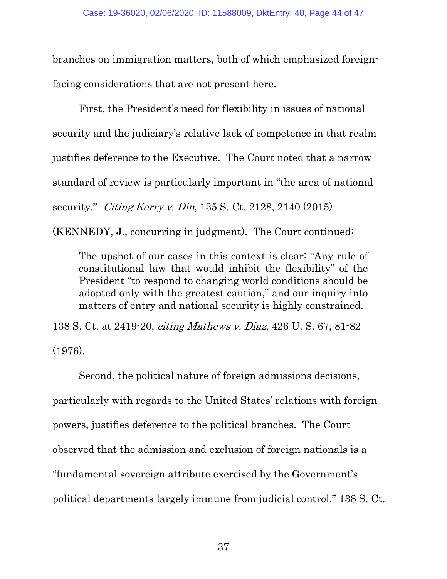branches on immigration matters, both of which emphasized foreignfacing considerations that are not present here.

First, the President's need for flexibility in issues of national security and the judiciary's relative lack of competence in that realm justifies deference to the Executive. The Court noted that a narrow standard of review is particularly important in "the area of national security." Citing Kerry v. Din, 135 S. Ct. 2128, 2140 (2015)

(KENNEDY, J., concurring in judgment). The Court continued:

The upshot of our cases in this context is clear: "Any rule of constitutional law that would inhibit the flexibility" of the President "to respond to changing world conditions should be adopted only with the greatest caution," and our inquiry into matters of entry and national security is highly constrained.

138 S. Ct. at 2419-20, citing Mathews v. Diaz, 426 U. S. 67, 81-82 (1976).

Second, the political nature of foreign admissions decisions, particularly with regards to the United States' relations with foreign powers, justifies deference to the political branches. The Court observed that the admission and exclusion of foreign nationals is a "fundamental sovereign attribute exercised by the Government's political departments largely immune from judicial control." 138 S. Ct.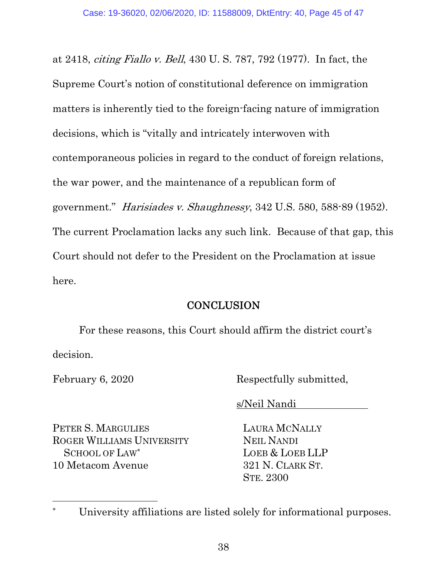at 2418, citing Fiallo v. Bell, 430 U. S. 787, 792 (1977). In fact, the Supreme Court's notion of constitutional deference on immigration matters is inherently tied to the foreign-facing nature of immigration decisions, which is "vitally and intricately interwoven with contemporaneous policies in regard to the conduct of foreign relations, the war power, and the maintenance of a republican form of government." Harisiades v. Shaughnessy, 342 U.S. 580, 588-89 (1952). The current Proclamation lacks any such link. Because of that gap, this Court should not defer to the President on the Proclamation at issue here.

#### **CONCLUSION**

For these reasons, this Court should affirm the district court's decision.

 $\overline{a}$ 

February 6, 2020 Respectfully submitted,

s/Neil Nandi

PETER S. MARGULIES ROGER WILLIAMS UNIVERSITY SCHOOL OF LAW\* 10 Metacom Avenue

LAURA MCNALLY NEIL NANDI LOEB & LOEB LLP 321 N. CLARK ST. STE. 2300

University affiliations are listed solely for informational purposes.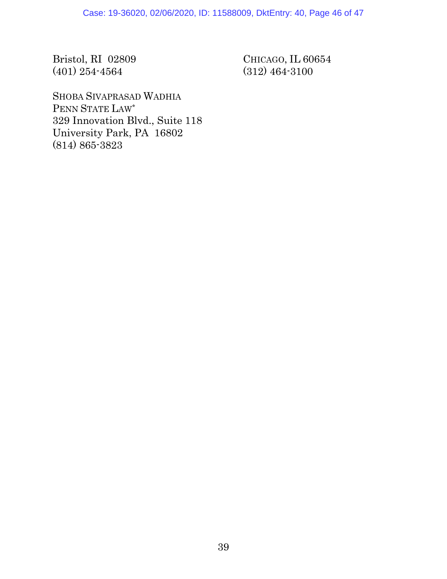Bristol, RI 02809 (401) 254-4564

CHICAGO, IL 60654 (312) 464-3100

SHOBA SIVAPRASAD WADHIA PENN STATE LAW\* 329 Innovation Blvd., Suite 118 University Park, PA 16802 (814) 865-3823